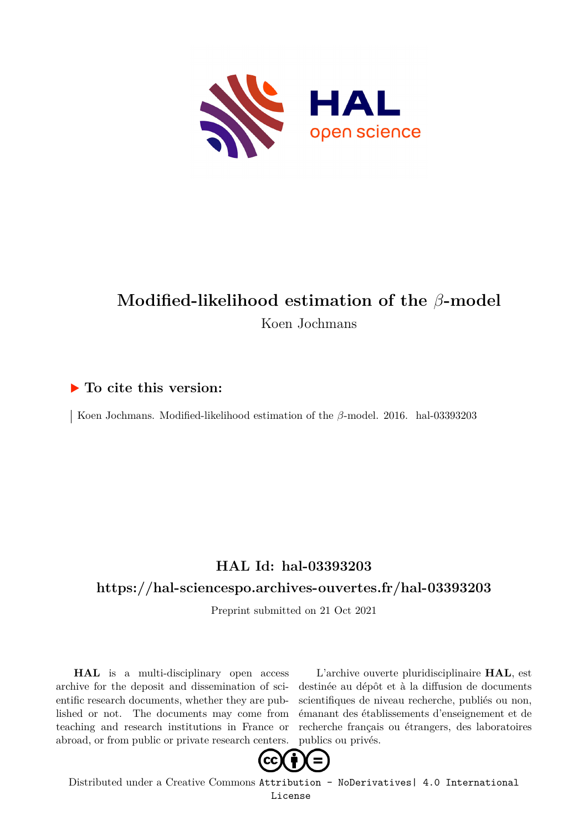

## **Modified-likelihood estimation of the** *β***-model** Koen Jochmans

## **To cite this version:**

Koen Jochmans. Modified-likelihood estimation of the  $\beta$ -model. 2016. hal-03393203

## **HAL Id: hal-03393203**

### **<https://hal-sciencespo.archives-ouvertes.fr/hal-03393203>**

Preprint submitted on 21 Oct 2021

**HAL** is a multi-disciplinary open access archive for the deposit and dissemination of scientific research documents, whether they are published or not. The documents may come from teaching and research institutions in France or abroad, or from public or private research centers.

L'archive ouverte pluridisciplinaire **HAL**, est destinée au dépôt et à la diffusion de documents scientifiques de niveau recherche, publiés ou non, émanant des établissements d'enseignement et de recherche français ou étrangers, des laboratoires publics ou privés.



Distributed under a Creative Commons [Attribution - NoDerivatives| 4.0 International](http://creativecommons.org/licenses/by-nd/4.0/) [License](http://creativecommons.org/licenses/by-nd/4.0/)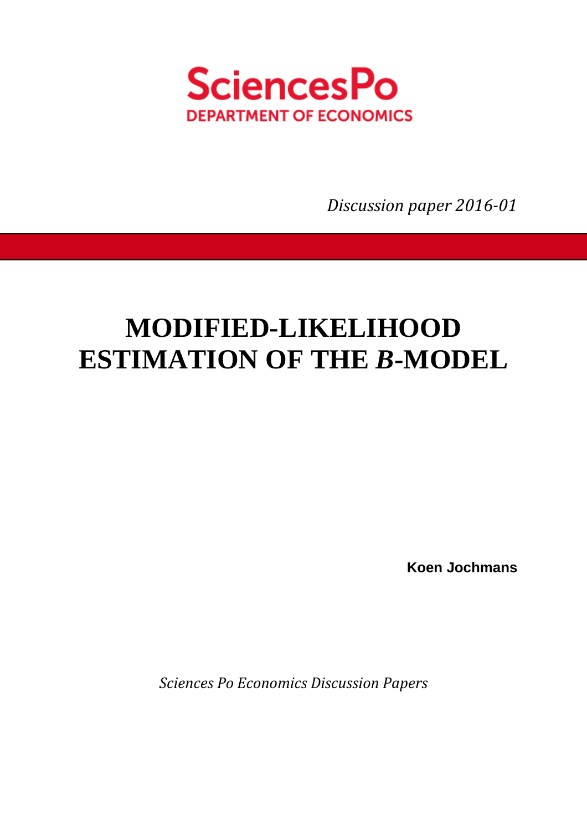

*Discussion paper 2016-01* 

# **MODIFIED-LIKELIHOOD ESTIMATION OF THE** *B***-MODEL**

**Koen Jochmans** 

*Sciences Po Economics Discussion Papers*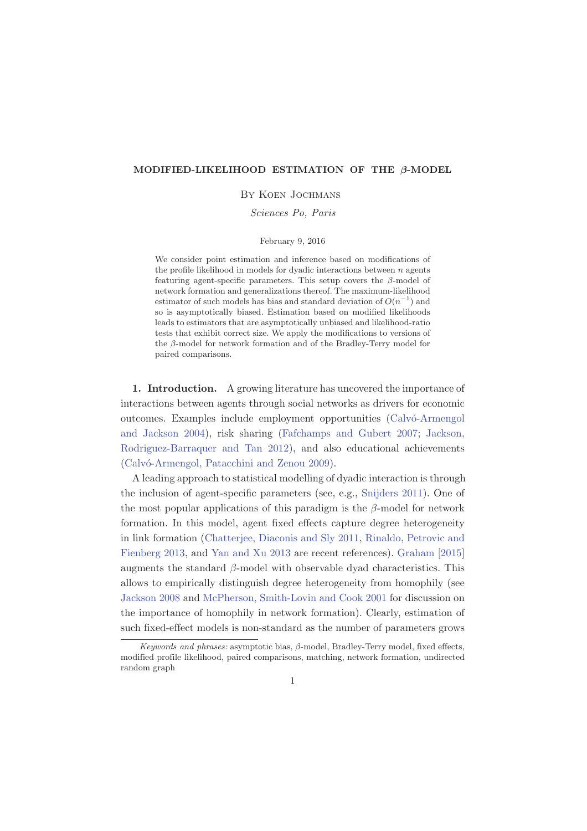#### MODIFIED-LIKELIHOOD ESTIMATION OF THE β-MODEL

#### By Koen Jochmans

*Sciences Po, Paris*

#### February 9, 2016

We consider point estimation and inference based on modifications of the profile likelihood in models for dyadic interactions between  $n$  agents featuring agent-specific parameters. This setup covers the β-model of network formation and generalizations thereof. The maximum-likelihood estimator of such models has bias and standard deviation of  $O(n^{-1})$  and so is asymptotically biased. Estimation based on modified likelihoods leads to estimators that are asymptotically unbiased and likelihood-ratio tests that exhibit correct size. We apply the modifications to versions of the β-model for network formation and of the Bradley-Terry model for paired comparisons.

1. Introduction. A growing literature has uncovered the importance of interactions between agents through social networks as drivers for economic outcomes. Examples include employment opportunities (Calvó-Armengol and Jackson 2004), risk sharing (Fafchamps and Gubert 2007; Jackson, Rodriguez-Barraquer and Tan 2012), and also educational achievements (Calvó-Armengol, Patacchini and Zenou 2009).

A leading approach to statistical modelling of dyadic interaction is through the inclusion of agent-specific parameters (see, e.g., Snijders 2011). One of the most popular applications of this paradigm is the  $\beta$ -model for network formation. In this model, agent fixed effects capture degree heterogeneity in link formation (Chatterjee, Diaconis and Sly 2011, Rinaldo, Petrovic and Fienberg 2013, and Yan and Xu 2013 are recent references). Graham [2015] augments the standard  $\beta$ -model with observable dyad characteristics. This allows to empirically distinguish degree heterogeneity from homophily (see Jackson 2008 and McPherson, Smith-Lovin and Cook 2001 for discussion on the importance of homophily in network formation). Clearly, estimation of such fixed-effect models is non-standard as the number of parameters grows

*Keywords and phrases:* asymptotic bias, β-model, Bradley-Terry model, fixed effects, modified profile likelihood, paired comparisons, matching, network formation, undirected random graph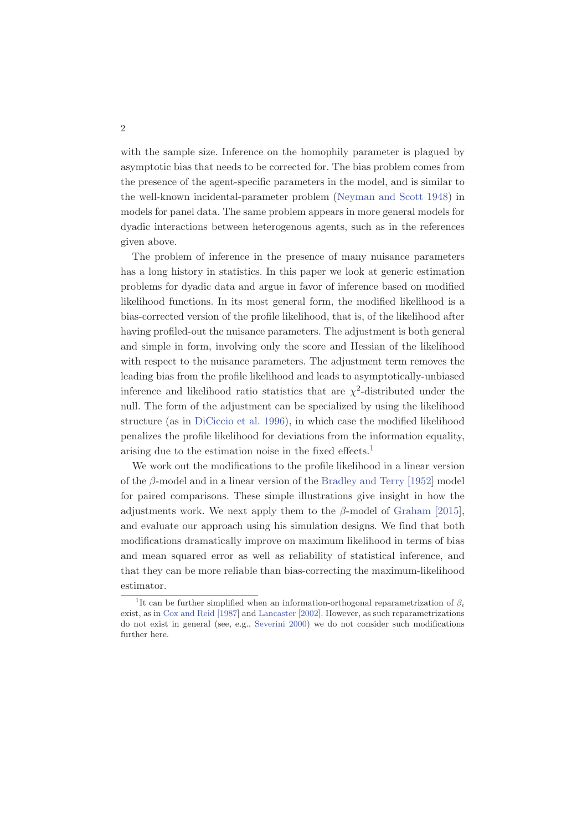with the sample size. Inference on the homophily parameter is plagued by asymptotic bias that needs to be corrected for. The bias problem comes from the presence of the agent-specific parameters in the model, and is similar to the well-known incidental-parameter problem (Neyman and Scott 1948) in models for panel data. The same problem appears in more general models for dyadic interactions between heterogenous agents, such as in the references given above.

The problem of inference in the presence of many nuisance parameters has a long history in statistics. In this paper we look at generic estimation problems for dyadic data and argue in favor of inference based on modified likelihood functions. In its most general form, the modified likelihood is a bias-corrected version of the profile likelihood, that is, of the likelihood after having profiled-out the nuisance parameters. The adjustment is both general and simple in form, involving only the score and Hessian of the likelihood with respect to the nuisance parameters. The adjustment term removes the leading bias from the profile likelihood and leads to asymptotically-unbiased inference and likelihood ratio statistics that are  $\chi^2$ -distributed under the null. The form of the adjustment can be specialized by using the likelihood structure (as in DiCiccio et al. 1996), in which case the modified likelihood penalizes the profile likelihood for deviations from the information equality, arising due to the estimation noise in the fixed effects.<sup>1</sup>

We work out the modifications to the profile likelihood in a linear version of the  $\beta$ -model and in a linear version of the Bradley and Terry [1952] model for paired comparisons. These simple illustrations give insight in how the adjustments work. We next apply them to the  $\beta$ -model of Graham [2015], and evaluate our approach using his simulation designs. We find that both modifications dramatically improve on maximum likelihood in terms of bias and mean squared error as well as reliability of statistical inference, and that they can be more reliable than bias-correcting the maximum-likelihood estimator.

<sup>&</sup>lt;sup>1</sup>It can be further simplified when an information-orthogonal reparametrization of  $\beta_i$ exist, as in Cox and Reid [1987] and Lancaster [2002]. However, as such reparametrizations do not exist in general (see, e.g., Severini 2000) we do not consider such modifications further here.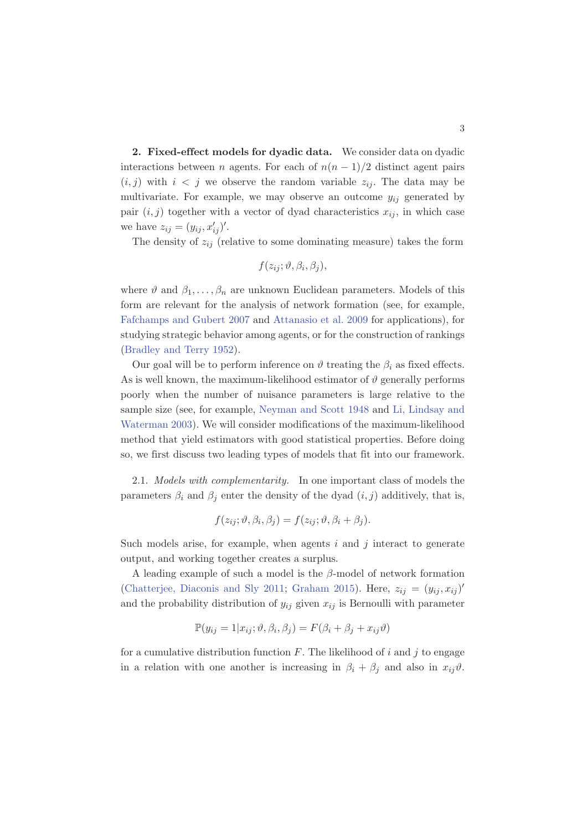2. Fixed-effect models for dyadic data. We consider data on dyadic interactions between *n* agents. For each of  $n(n-1)/2$  distinct agent pairs  $(i, j)$  with  $i < j$  we observe the random variable  $z_{ij}$ . The data may be multivariate. For example, we may observe an outcome  $y_{ij}$  generated by pair  $(i, j)$  together with a vector of dyad characteristics  $x_{ij}$ , in which case we have  $z_{ij} = (y_{ij}, x'_{ij})'$ .

The density of  $z_{ij}$  (relative to some dominating measure) takes the form

$$
f(z_{ij}; \vartheta, \beta_i, \beta_j),
$$

where  $\vartheta$  and  $\beta_1, \ldots, \beta_n$  are unknown Euclidean parameters. Models of this form are relevant for the analysis of network formation (see, for example, Fafchamps and Gubert 2007 and Attanasio et al. 2009 for applications), for studying strategic behavior among agents, or for the construction of rankings (Bradley and Terry 1952).

Our goal will be to perform inference on  $\vartheta$  treating the  $\beta_i$  as fixed effects. As is well known, the maximum-likelihood estimator of  $\vartheta$  generally performs poorly when the number of nuisance parameters is large relative to the sample size (see, for example, Neyman and Scott 1948 and Li, Lindsay and Waterman 2003). We will consider modifications of the maximum-likelihood method that yield estimators with good statistical properties. Before doing so, we first discuss two leading types of models that fit into our framework.

2.1. *Models with complementarity.* In one important class of models the parameters  $\beta_i$  and  $\beta_j$  enter the density of the dyad  $(i, j)$  additively, that is,

$$
f(z_{ij}; \vartheta, \beta_i, \beta_j) = f(z_{ij}; \vartheta, \beta_i + \beta_j).
$$

Such models arise, for example, when agents  $i$  and  $j$  interact to generate output, and working together creates a surplus.

A leading example of such a model is the  $\beta$ -model of network formation (Chatterjee, Diaconis and Sly 2011; Graham 2015). Here,  $z_{ij} = (y_{ij}, x_{ij})'$ and the probability distribution of  $y_{ij}$  given  $x_{ij}$  is Bernoulli with parameter

$$
\mathbb{P}(y_{ij} = 1 | x_{ij}; \vartheta, \beta_i, \beta_j) = F(\beta_i + \beta_j + x_{ij}\vartheta)
$$

for a cumulative distribution function  $F$ . The likelihood of i and j to engage in a relation with one another is increasing in  $\beta_i + \beta_j$  and also in  $x_{ij}\vartheta$ .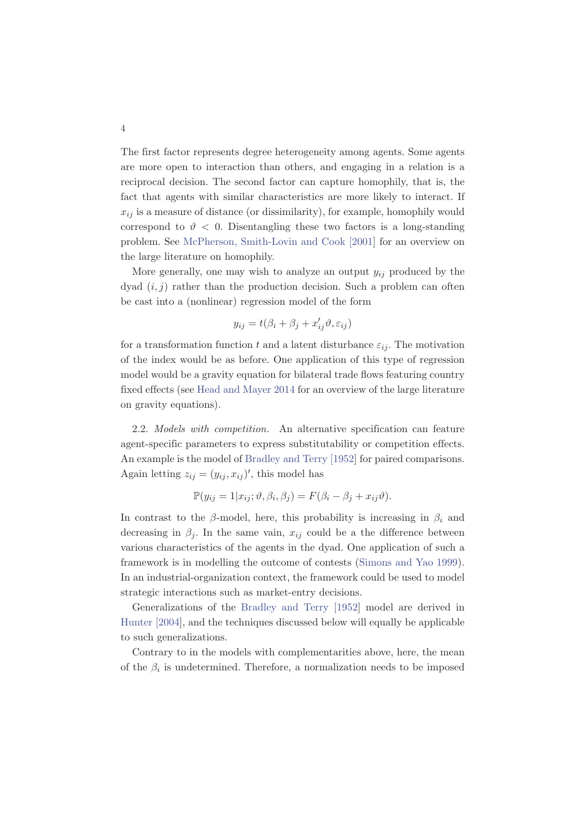The first factor represents degree heterogeneity among agents. Some agents are more open to interaction than others, and engaging in a relation is a reciprocal decision. The second factor can capture homophily, that is, the fact that agents with similar characteristics are more likely to interact. If  $x_{ij}$  is a measure of distance (or dissimilarity), for example, homophily would correspond to  $\vartheta$  < 0. Disentangling these two factors is a long-standing problem. See McPherson, Smith-Lovin and Cook [2001] for an overview on the large literature on homophily.

More generally, one may wish to analyze an output  $y_{ij}$  produced by the dyad  $(i, j)$  rather than the production decision. Such a problem can often be cast into a (nonlinear) regression model of the form

$$
y_{ij} = t(\beta_i + \beta_j + x'_{ij}\vartheta, \varepsilon_{ij})
$$

for a transformation function t and a latent disturbance  $\varepsilon_{ij}$ . The motivation of the index would be as before. One application of this type of regression model would be a gravity equation for bilateral trade flows featuring country fixed effects (see Head and Mayer 2014 for an overview of the large literature on gravity equations).

2.2. *Models with competition.* An alternative specification can feature agent-specific parameters to express substitutability or competition effects. An example is the model of Bradley and Terry [1952] for paired comparisons. Again letting  $z_{ij} = (y_{ij}, x_{ij})'$ , this model has

$$
\mathbb{P}(y_{ij} = 1 | x_{ij}; \vartheta, \beta_i, \beta_j) = F(\beta_i - \beta_j + x_{ij}\vartheta).
$$

In contrast to the  $\beta$ -model, here, this probability is increasing in  $\beta_i$  and decreasing in  $\beta_j$ . In the same vain,  $x_{ij}$  could be a the difference between various characteristics of the agents in the dyad. One application of such a framework is in modelling the outcome of contests (Simons and Yao 1999). In an industrial-organization context, the framework could be used to model strategic interactions such as market-entry decisions.

Generalizations of the Bradley and Terry [1952] model are derived in Hunter [2004], and the techniques discussed below will equally be applicable to such generalizations.

Contrary to in the models with complementarities above, here, the mean of the  $\beta_i$  is undetermined. Therefore, a normalization needs to be imposed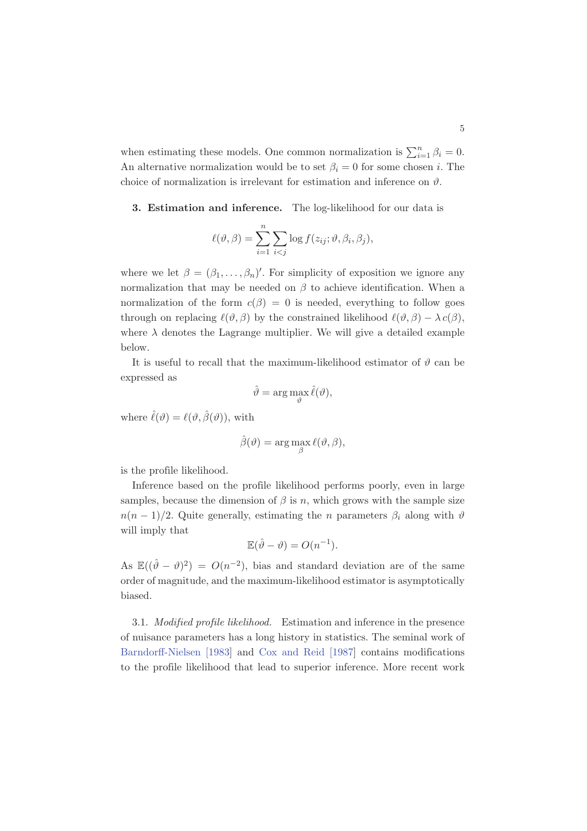when estimating these models. One common normalization is  $\sum_{i=1}^{n} \beta_i = 0$ . An alternative normalization would be to set  $\beta_i = 0$  for some chosen *i*. The choice of normalization is irrelevant for estimation and inference on  $\vartheta$ .

#### 3. Estimation and inference. The log-likelihood for our data is

$$
\ell(\vartheta,\beta) = \sum_{i=1}^n \sum_{i < j} \log f(z_{ij}; \vartheta, \beta_i, \beta_j),
$$

where we let  $\beta = (\beta_1, \ldots, \beta_n)'$ . For simplicity of exposition we ignore any normalization that may be needed on  $\beta$  to achieve identification. When a normalization of the form  $c(\beta) = 0$  is needed, everything to follow goes through on replacing  $\ell(\vartheta, \beta)$  by the constrained likelihood  $\ell(\vartheta, \beta) - \lambda c(\beta)$ , where  $\lambda$  denotes the Lagrange multiplier. We will give a detailed example below.

It is useful to recall that the maximum-likelihood estimator of  $\vartheta$  can be expressed as

$$
\hat{\vartheta} = \arg\max_{\vartheta} \hat{\ell}(\vartheta),
$$

where  $\hat{\ell}(\vartheta) = \ell(\vartheta, \hat{\beta}(\vartheta))$ , with

$$
\hat{\beta}(\vartheta) = \arg\max_{\beta} \ell(\vartheta, \beta),
$$

is the profile likelihood.

Inference based on the profile likelihood performs poorly, even in large samples, because the dimension of  $\beta$  is n, which grows with the sample size  $n(n-1)/2$ . Quite generally, estimating the *n* parameters  $\beta_i$  along with  $\vartheta$ will imply that

$$
\mathbb{E}(\hat{\vartheta} - \vartheta) = O(n^{-1}).
$$

As  $\mathbb{E}((\hat{\vartheta}-\vartheta)^2) = O(n^{-2})$ , bias and standard deviation are of the same order of magnitude, and the maximum-likelihood estimator is asymptotically biased.

3.1. *Modified profile likelihood.* Estimation and inference in the presence of nuisance parameters has a long history in statistics. The seminal work of Barndorff-Nielsen [1983] and Cox and Reid [1987] contains modifications to the profile likelihood that lead to superior inference. More recent work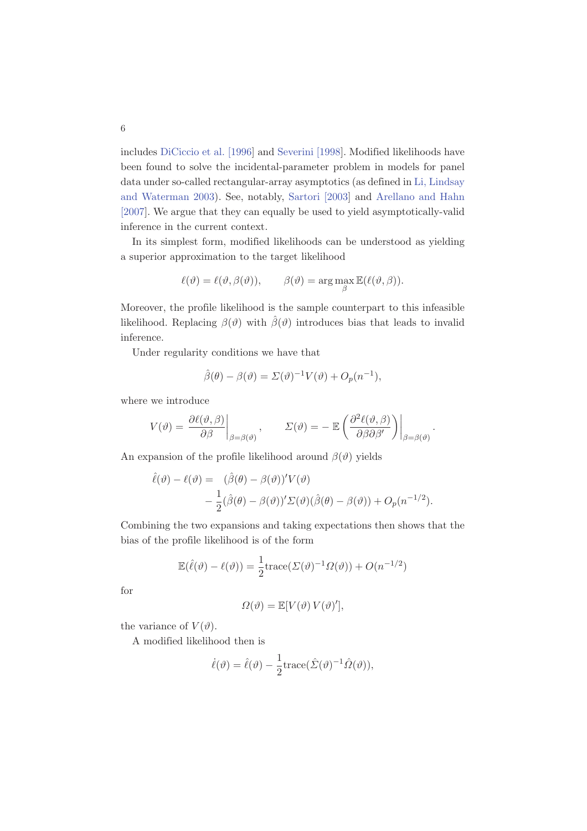includes DiCiccio et al. [1996] and Severini [1998]. Modified likelihoods have been found to solve the incidental-parameter problem in models for panel data under so-called rectangular-array asymptotics (as defined in Li, Lindsay and Waterman 2003). See, notably, Sartori [2003] and Arellano and Hahn [2007]. We argue that they can equally be used to yield asymptotically-valid inference in the current context.

In its simplest form, modified likelihoods can be understood as yielding a superior approximation to the target likelihood

$$
\ell(\vartheta) = \ell(\vartheta, \beta(\vartheta)), \qquad \beta(\vartheta) = \arg \max_{\beta} \mathbb{E}(\ell(\vartheta, \beta)).
$$

Moreover, the profile likelihood is the sample counterpart to this infeasible likelihood. Replacing  $\beta(\vartheta)$  with  $\hat{\beta}(\vartheta)$  introduces bias that leads to invalid inference.

Under regularity conditions we have that

$$
\hat{\beta}(\theta) - \beta(\vartheta) = \Sigma(\vartheta)^{-1} V(\vartheta) + O_p(n^{-1}),
$$

where we introduce

$$
V(\vartheta) = \left. \frac{\partial \ell(\vartheta, \beta)}{\partial \beta} \right|_{\beta = \beta(\vartheta)}, \qquad \Sigma(\vartheta) = - \left. \mathbb{E} \left( \frac{\partial^2 \ell(\vartheta, \beta)}{\partial \beta \partial \beta'} \right) \right|_{\beta = \beta(\vartheta)}.
$$

An expansion of the profile likelihood around  $\beta(\vartheta)$  yields

$$
\hat{\ell}(\vartheta) - \ell(\vartheta) = (\hat{\beta}(\theta) - \beta(\vartheta))'V(\vartheta) \n- \frac{1}{2}(\hat{\beta}(\theta) - \beta(\vartheta))' \Sigma(\vartheta) (\hat{\beta}(\theta) - \beta(\vartheta)) + O_p(n^{-1/2}).
$$

Combining the two expansions and taking expectations then shows that the bias of the profile likelihood is of the form

$$
\mathbb{E}(\hat{\ell}(\vartheta) - \ell(\vartheta)) = \frac{1}{2} \text{trace}(\Sigma(\vartheta)^{-1} \Omega(\vartheta)) + O(n^{-1/2})
$$

for

$$
\Omega(\vartheta) = \mathbb{E}[V(\vartheta) V(\vartheta)'],
$$

the variance of  $V(\vartheta)$ .

A modified likelihood then is

$$
\dot{\ell}(\vartheta) = \hat{\ell}(\vartheta) - \frac{1}{2} \text{trace}(\hat{\Sigma}(\vartheta)^{-1} \hat{\Omega}(\vartheta)),
$$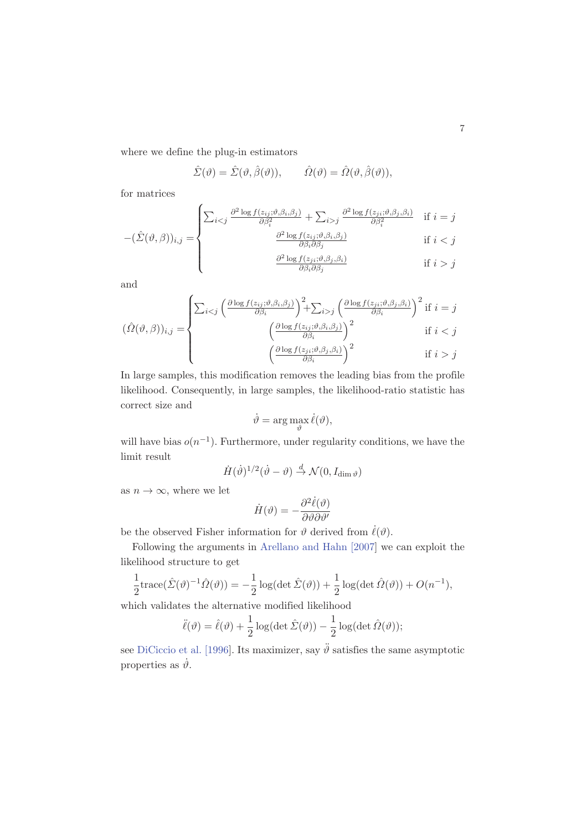where we define the plug-in estimators

$$
\hat{\Sigma}(\vartheta) = \hat{\Sigma}(\vartheta, \hat{\beta}(\vartheta)), \qquad \hat{\Omega}(\vartheta) = \hat{\Omega}(\vartheta, \hat{\beta}(\vartheta)),
$$

for matrices

$$
-(\hat{\Sigma}(\vartheta,\beta))_{i,j} = \n\begin{cases} \n\sum_{i < j} \frac{\partial^2 \log f(z_{ij};\vartheta,\beta_i,\beta_j)}{\partial \beta_i^2} + \sum_{i > j} \frac{\partial^2 \log f(z_{ji};\vartheta,\beta_j,\beta_i)}{\partial \beta_i^2} & \text{if } i = j \\ \n\frac{\partial^2 \log f(z_{ij};\vartheta,\beta_i,\beta_j)}{\partial \beta_i^2} & \text{if } i < j \n\end{cases}
$$

$$
(\beta))_{i,j} = \n\begin{cases}\n\frac{\partial^2 \log f(z_{ij}; \vartheta, \beta_i, \beta_j)}{\partial \beta_i \partial \beta_j} & \text{if } i < j \\
\frac{\partial^2 \log f(z_{ji}; \vartheta, \beta_j, \beta_i)}{\partial \beta_i \partial \beta_j} & \text{if } i > j\n\end{cases}
$$

$$
\frac{\partial^2 \log f(z_{ji}; \vartheta, \beta_j, \beta_i)}{\partial \beta_i \partial \beta_j} \quad \text{if } i > j
$$

and

$$
(\hat{\Omega}(\vartheta,\beta))_{i,j} = \begin{cases} \sum_{i < j} \left( \frac{\partial \log f(z_{ij};\vartheta,\beta_{i},\beta_{j})}{\partial \beta_{i}} \right)^{2} + \sum_{i > j} \left( \frac{\partial \log f(z_{ji};\vartheta,\beta_{j},\beta_{i})}{\partial \beta_{i}} \right)^{2} & \text{if } i = j \\ \left( \frac{\partial \log f(z_{ij};\vartheta,\beta_{i},\beta_{j})}{\partial \beta_{i}} \right)^{2} & \text{if } i < j \\ \left( \frac{\partial \log f(z_{ji};\vartheta,\beta_{j},\beta_{i})}{\partial \beta_{i}} \right)^{2} & \text{if } i > j \end{cases}
$$

In large samples, this modification removes the leading bias from the profile likelihood. Consequently, in large samples, the likelihood-ratio statistic has correct size and

$$
\dot{\vartheta} = \arg\max_{\vartheta} \dot{\ell}(\vartheta),
$$

will have bias  $o(n^{-1})$ . Furthermore, under regularity conditions, we have the limit result

$$
\dot{H}(\dot{\vartheta})^{1/2}(\dot{\vartheta}-\vartheta) \stackrel{d}{\rightarrow} \mathcal{N}(0, I_{\dim \vartheta})
$$

as  $n \to \infty$ , where we let

$$
\dot{H}(\vartheta) = -\frac{\partial^2 \dot{\ell}(\vartheta)}{\partial \vartheta \partial \vartheta'}
$$

be the observed Fisher information for  $\vartheta$  derived from  $\ell(\vartheta)$ .

Following the arguments in Arellano and Hahn [2007] we can exploit the likelihood structure to get

$$
\frac{1}{2} \operatorname{trace}(\hat{\Sigma}(\vartheta)^{-1}\hat{\Omega}(\vartheta)) = -\frac{1}{2}\log(\det \hat{\Sigma}(\vartheta)) + \frac{1}{2}\log(\det \hat{\Omega}(\vartheta)) + O(n^{-1}),
$$

which validates the alternative modified likelihood

$$
\ddot{\ell}(\vartheta) = \hat{\ell}(\vartheta) + \frac{1}{2}\log(\det \hat{\Sigma}(\vartheta)) - \frac{1}{2}\log(\det \hat{\Omega}(\vartheta));
$$

see DiCiccio et al. [1996]. Its maximizer, say  $\ddot{\theta}$  satisfies the same asymptotic properties as  $\dot{\vartheta}$ .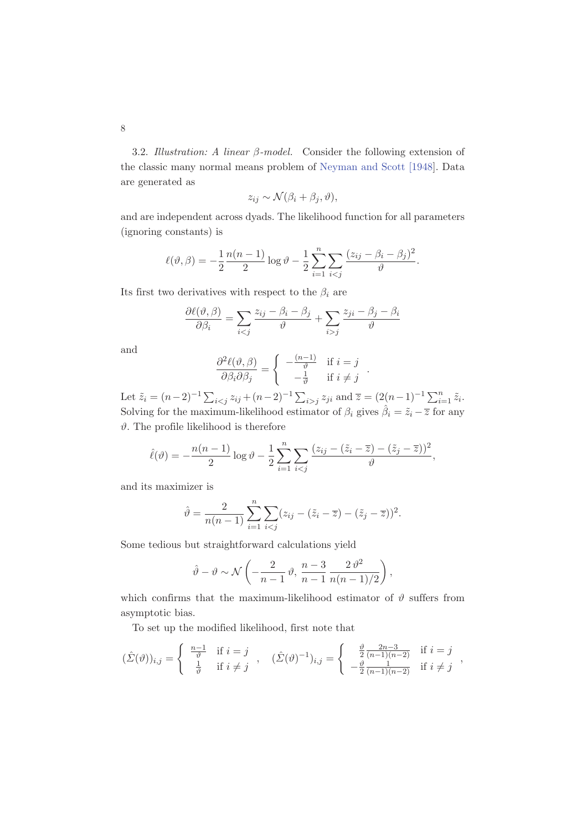3.2. *Illustration: A linear* β*-model.* Consider the following extension of the classic many normal means problem of Neyman and Scott [1948]. Data are generated as

$$
z_{ij} \sim \mathcal{N}(\beta_i + \beta_j, \vartheta),
$$

and are independent across dyads. The likelihood function for all parameters (ignoring constants) is

$$
\ell(\vartheta,\beta) = -\frac{1}{2} \frac{n(n-1)}{2} \log \vartheta - \frac{1}{2} \sum_{i=1}^{n} \sum_{i < j} \frac{(z_{ij} - \beta_i - \beta_j)^2}{\vartheta}.
$$

Its first two derivatives with respect to the  $\beta_i$  are

$$
\frac{\partial \ell(\vartheta, \beta)}{\partial \beta_i} = \sum_{i < j} \frac{z_{ij} - \beta_i - \beta_j}{\vartheta} + \sum_{i > j} \frac{z_{ji} - \beta_j - \beta_i}{\vartheta}
$$

and

$$
\frac{\partial^2 \ell(\vartheta, \beta)}{\partial \beta_i \partial \beta_j} = \begin{cases} -\frac{(n-1)}{\vartheta} & \text{if } i = j \\ -\frac{1}{\vartheta} & \text{if } i \neq j \end{cases}.
$$

Let  $\tilde{z}_i = (n-2)^{-1} \sum_{i < j} z_{ij} + (n-2)^{-1} \sum_{i > j} z_{ji}$  and  $\overline{z} = (2(n-1)^{-1} \sum_{i=1}^n \tilde{z}_i$ . Solving for the maximum-likelihood estimator of  $\beta_i$  gives  $\hat{\beta}_i = \tilde{z}_i - \overline{z}$  for any  $\vartheta$ . The profile likelihood is therefore

$$
\hat{\ell}(\vartheta) = -\frac{n(n-1)}{2}\log \vartheta - \frac{1}{2}\sum_{i=1}^{n}\sum_{i < j}\frac{(z_{ij} - (\tilde{z}_i - \overline{z}) - (\tilde{z}_j - \overline{z}))^2}{\vartheta},
$$

and its maximizer is

$$
\hat{\vartheta} = \frac{2}{n(n-1)} \sum_{i=1}^{n} \sum_{i < j} (z_{ij} - (\tilde{z}_i - \overline{z}) - (\tilde{z}_j - \overline{z}))^2.
$$

Some tedious but straightforward calculations yield

$$
\hat{\vartheta} - \vartheta \sim \mathcal{N}\left(-\frac{2}{n-1}\,\vartheta, \frac{n-3}{n-1}\,\frac{2\,\vartheta^2}{n(n-1)/2}\right),\,
$$

which confirms that the maximum-likelihood estimator of  $\vartheta$  suffers from asymptotic bias.

To set up the modified likelihood, first note that

$$
(\hat{\Sigma}(\vartheta))_{i,j} = \begin{cases} \frac{n-1}{\vartheta} & \text{if } i = j \\ \frac{1}{\vartheta} & \text{if } i \neq j \end{cases}, \quad (\hat{\Sigma}(\vartheta)^{-1})_{i,j} = \begin{cases} \frac{\vartheta}{2} \frac{2n-3}{(n-1)(n-2)} & \text{if } i = j \\ -\frac{\vartheta}{2} \frac{1}{(n-1)(n-2)} & \text{if } i \neq j \end{cases}
$$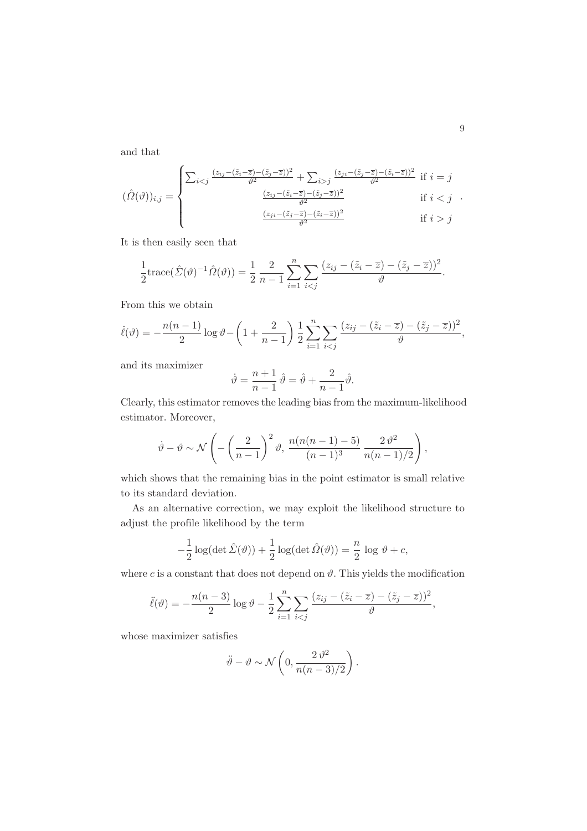and that

$$
(\hat{\Omega}(\vartheta))_{i,j} = \begin{cases} \sum_{i < j} \frac{(z_{ij} - (\tilde{z}_i - \overline{z}) - (\tilde{z}_j - \overline{z}))^2}{\vartheta^2} + \sum_{i > j} \frac{(z_{ji} - (\tilde{z}_j - \overline{z}) - (\tilde{z}_i - \overline{z}))^2}{\vartheta^2} & \text{if } i = j \\ \frac{(z_{ij} - (\tilde{z}_i - \overline{z}) - (\tilde{z}_j - \overline{z}))^2}{\vartheta^2} & \text{if } i < j \\ \frac{(z_{ji} - (\tilde{z}_j - \overline{z}) - (\tilde{z}_i - \overline{z}))^2}{\vartheta^2} & \text{if } i > j \end{cases}
$$

It is then easily seen that

$$
\frac{1}{2}\mathrm{trace}(\hat{\Sigma}(\vartheta)^{-1}\hat{\Omega}(\vartheta)) = \frac{1}{2}\frac{2}{n-1}\sum_{i=1}^{n}\sum_{i
$$

From this we obtain

$$
\dot{\ell}(\vartheta) = -\frac{n(n-1)}{2}\log \vartheta - \left(1 + \frac{2}{n-1}\right)\frac{1}{2}\sum_{i=1}^{n}\sum_{i < j} \frac{(z_{ij} - (\tilde{z}_i - \overline{z}) - (\tilde{z}_j - \overline{z}))^2}{\vartheta},
$$

and its maximizer

$$
\dot{\vartheta} = \frac{n+1}{n-1}\,\hat{\vartheta} = \hat{\vartheta} + \frac{2}{n-1}\hat{\vartheta}.
$$

Clearly, this estimator removes the leading bias from the maximum-likelihood estimator. Moreover,

$$
\dot{\vartheta} - \vartheta \sim \mathcal{N}\left(-\left(\frac{2}{n-1}\right)^2 \vartheta, \frac{n(n(n-1)-5)}{(n-1)^3} \frac{2 \vartheta^2}{n(n-1)/2}\right),\,
$$

which shows that the remaining bias in the point estimator is small relative to its standard deviation.

As an alternative correction, we may exploit the likelihood structure to adjust the profile likelihood by the term

$$
-\frac{1}{2}\log(\det \hat{\Sigma}(\vartheta)) + \frac{1}{2}\log(\det \hat{\Omega}(\vartheta)) = \frac{n}{2}\log \vartheta + c,
$$

where c is a constant that does not depend on  $\vartheta$ . This yields the modification

$$
\ddot{\ell}(\vartheta) = -\frac{n(n-3)}{2}\log \vartheta - \frac{1}{2}\sum_{i=1}^{n}\sum_{i < j} \frac{(z_{ij} - (\tilde{z}_i - \overline{z}) - (\tilde{z}_j - \overline{z}))^2}{\vartheta},
$$

whose maximizer satisfies

$$
\ddot{\vartheta} - \vartheta \sim \mathcal{N}\left(0, \frac{2 \vartheta^2}{n(n-3)/2}\right).
$$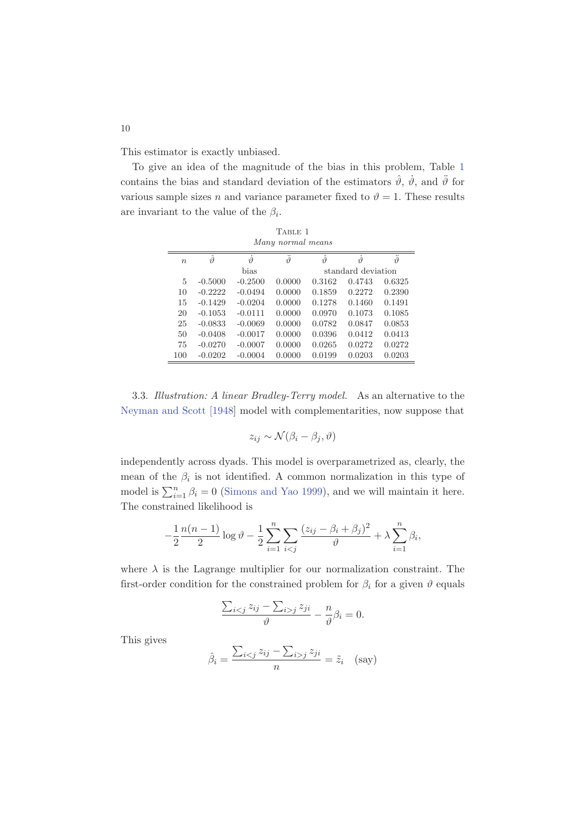This estimator is exactly unbiased.

To give an idea of the magnitude of the bias in this problem, Table 1 contains the bias and standard deviation of the estimators  $\hat{\vartheta}$ ,  $\dot{\vartheta}$ , and  $\ddot{\vartheta}$  for various sample sizes n and variance parameter fixed to  $\vartheta = 1$ . These results are invariant to the value of the  $\beta_i$ .

| TABLE 1           |                            |                   |                    |                   |        |                         |  |  |
|-------------------|----------------------------|-------------------|--------------------|-------------------|--------|-------------------------|--|--|
| Many normal means |                            |                   |                    |                   |        |                         |  |  |
| $\boldsymbol{n}$  | $\hat{\vartheta}$          | $\dot{\vartheta}$ | $\ddot{\vartheta}$ | $\hat{\vartheta}$ | $\eta$ | <br>$\tilde{\vartheta}$ |  |  |
|                   | bias<br>standard deviation |                   |                    |                   |        |                         |  |  |
| 5                 | $-0.5000$                  | $-0.2500$         | 0.0000             | 0.3162            | 0.4743 | 0.6325                  |  |  |
| 10                | $-0.2222$                  | $-0.0494$         | 0.0000             | 0.1859            | 0.2272 | 0.2390                  |  |  |
| 15                | $-0.1429$                  | $-0.0204$         | 0.0000             | 0.1278            | 0.1460 | 0.1491                  |  |  |
| 20                | $-0.1053$                  | $-0.0111$         | 0.0000             | 0.0970            | 0.1073 | 0.1085                  |  |  |
| 25                | $-0.0833$                  | $-0.0069$         | 0.0000             | 0.0782            | 0.0847 | 0.0853                  |  |  |
| 50                | $-0.0408$                  | $-0.0017$         | 0.0000             | 0.0396            | 0.0412 | 0.0413                  |  |  |
| 75                | $-0.0270$                  | $-0.0007$         | 0.0000             | 0.0265            | 0.0272 | 0.0272                  |  |  |
| 100               | $-0.0202$                  | $-0.0004$         | 0.0000             | 0.0199            | 0.0203 | 0.0203                  |  |  |

3.3. *Illustration: A linear Bradley-Terry model.* As an alternative to the Neyman and Scott [1948] model with complementarities, now suppose that

$$
z_{ij} \sim \mathcal{N}(\beta_i - \beta_j, \vartheta)
$$

independently across dyads. This model is overparametrized as, clearly, the mean of the  $\beta_i$  is not identified. A common normalization in this type of model is  $\sum_{i=1}^{n} \beta_i = 0$  (Simons and Yao 1999), and we will maintain it here. The constrained likelihood is

$$
-\frac{1}{2}\frac{n(n-1)}{2}\log \vartheta - \frac{1}{2}\sum_{i=1}^{n}\sum_{i < j} \frac{(z_{ij} - \beta_i + \beta_j)^2}{\vartheta} + \lambda \sum_{i=1}^{n} \beta_i,
$$

where  $\lambda$  is the Lagrange multiplier for our normalization constraint. The first-order condition for the constrained problem for  $\beta_i$  for a given  $\vartheta$  equals

$$
\frac{\sum_{i < j} z_{ij} - \sum_{i > j} z_{ji}}{\vartheta} - \frac{n}{\vartheta} \beta_i = 0.
$$

This gives

$$
\hat{\beta}_i = \frac{\sum_{i < j} z_{ij} - \sum_{i > j} z_{ji}}{n} = \tilde{z}_i \quad \text{(say)}
$$

10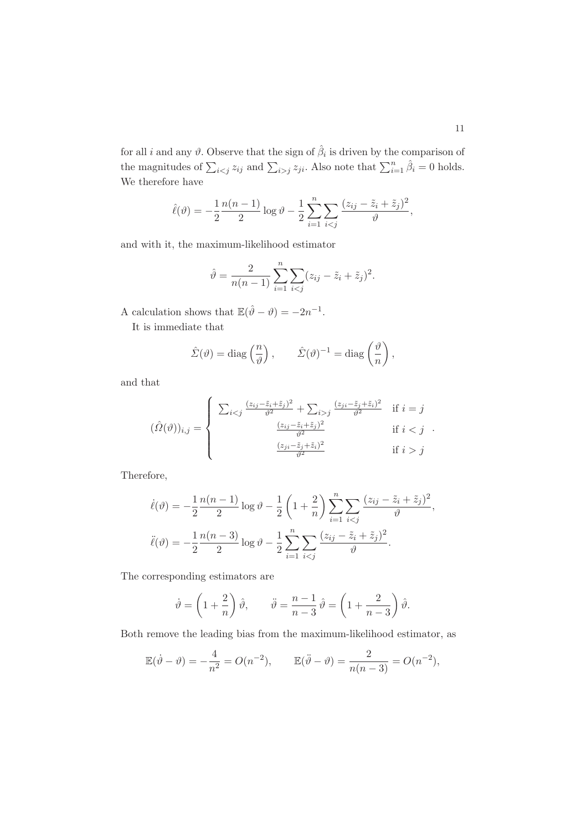for all *i* and any  $\vartheta$ . Observe that the sign of  $\hat{\beta}_i$  is driven by the comparison of the magnitudes of  $\sum_{i < j} z_{ij}$  and  $\sum_{i > j} z_{ji}$ . Also note that  $\sum_{i=1}^n \hat{\beta}_i = 0$  holds. We therefore have

$$
\hat{\ell}(\vartheta) = -\frac{1}{2} \frac{n(n-1)}{2} \log \vartheta - \frac{1}{2} \sum_{i=1}^{n} \sum_{i < j} \frac{(z_{ij} - \tilde{z}_i + \tilde{z}_j)^2}{\vartheta},
$$

and with it, the maximum-likelihood estimator

$$
\hat{\vartheta} = \frac{2}{n(n-1)} \sum_{i=1}^{n} \sum_{i < j} (z_{ij} - \tilde{z}_i + \tilde{z}_j)^2.
$$

A calculation shows that  $\mathbb{E}(\hat{\theta} - \theta) = -2n^{-1}$ .

It is immediate that

$$
\hat{\Sigma}(\vartheta) = \text{diag}\left(\frac{n}{\vartheta}\right), \qquad \hat{\Sigma}(\vartheta)^{-1} = \text{diag}\left(\frac{\vartheta}{n}\right),
$$

and that

$$
(\hat{\Omega}(\vartheta))_{i,j} = \begin{cases} \sum_{i < j} \frac{(z_{ij} - \tilde{z}_i + \tilde{z}_j)^2}{\vartheta^2} + \sum_{i > j} \frac{(z_{ji} - \tilde{z}_j + \tilde{z}_i)^2}{\vartheta^2} & \text{if } i = j \\ \frac{(z_{ij} - \tilde{z}_i + \tilde{z}_j)^2}{\vartheta^2} & \text{if } i < j \\ \frac{(z_{ji} - \tilde{z}_j + \tilde{z}_i)^2}{\vartheta^2} & \text{if } i > j \end{cases}
$$

Therefore,

$$
\dot{\ell}(\vartheta) = -\frac{1}{2} \frac{n(n-1)}{2} \log \vartheta - \frac{1}{2} \left( 1 + \frac{2}{n} \right) \sum_{i=1}^{n} \sum_{i < j} \frac{(z_{ij} - \tilde{z}_i + \tilde{z}_j)^2}{\vartheta},
$$
\n
$$
\ddot{\ell}(\vartheta) = -\frac{1}{2} \frac{n(n-3)}{2} \log \vartheta - \frac{1}{2} \sum_{i=1}^{n} \sum_{i < j} \frac{(z_{ij} - \tilde{z}_i + \tilde{z}_j)^2}{\vartheta}.
$$

The corresponding estimators are

$$
\dot{\vartheta} = \left(1 + \frac{2}{n}\right)\hat{\vartheta}, \qquad \ddot{\vartheta} = \frac{n-1}{n-3}\hat{\vartheta} = \left(1 + \frac{2}{n-3}\right)\hat{\vartheta}.
$$

Both remove the leading bias from the maximum-likelihood estimator, as

$$
\mathbb{E}(\dot{\vartheta} - \vartheta) = -\frac{4}{n^2} = O(n^{-2}), \qquad \mathbb{E}(\ddot{\vartheta} - \vartheta) = \frac{2}{n(n-3)} = O(n^{-2}),
$$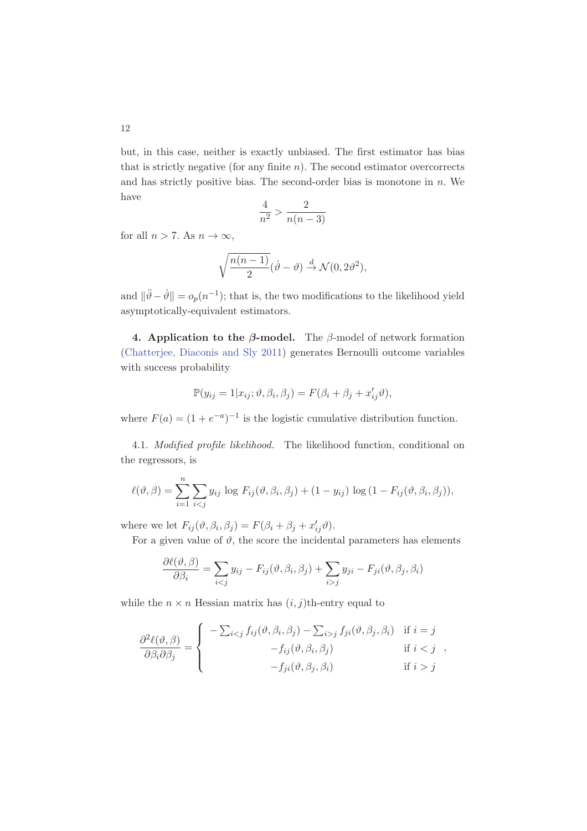but, in this case, neither is exactly unbiased. The first estimator has bias that is strictly negative (for any finite  $n$ ). The second estimator overcorrects and has strictly positive bias. The second-order bias is monotone in  $n$ . We have

$$
\frac{4}{n^2} > \frac{2}{n(n-3)}
$$

for all  $n > 7$ . As  $n \to \infty$ ,

$$
\sqrt{\frac{n(n-1)}{2}}(\dot{\vartheta}-\vartheta)\overset{d}{\to} \mathcal{N}(0,2\vartheta^2),
$$

and  $\|\ddot{\theta} - \dot{\theta}\| = o_p(n^{-1});$  that is, the two modifications to the likelihood yield asymptotically-equivalent estimators.

4. Application to the  $\beta$ -model. The  $\beta$ -model of network formation (Chatterjee, Diaconis and Sly 2011) generates Bernoulli outcome variables with success probability

$$
\mathbb{P}(y_{ij}=1|x_{ij};\vartheta,\beta_i,\beta_j)=F(\beta_i+\beta_j+x_{ij}'\vartheta),
$$

where  $F(a) = (1 + e^{-a})^{-1}$  is the logistic cumulative distribution function.

4.1. *Modified profile likelihood.* The likelihood function, conditional on the regressors, is

$$
\ell(\vartheta,\beta) = \sum_{i=1}^n \sum_{i < j} y_{ij} \log F_{ij}(\vartheta,\beta_i,\beta_j) + (1 - y_{ij}) \log (1 - F_{ij}(\vartheta,\beta_i,\beta_j)),
$$

where we let  $F_{ij}(\vartheta, \beta_i, \beta_j) = F(\beta_i + \beta_j + x'_{ij}\vartheta)$ .

For a given value of  $\vartheta$ , the score the incidental parameters has elements

$$
\frac{\partial \ell(\vartheta,\beta)}{\partial \beta_i} = \sum_{i < j} y_{ij} - F_{ij}(\vartheta,\beta_i,\beta_j) + \sum_{i > j} y_{ji} - F_{ji}(\vartheta,\beta_j,\beta_i)
$$

while the  $n \times n$  Hessian matrix has  $(i, j)$ th-entry equal to

$$
\frac{\partial^2 \ell(\vartheta, \beta)}{\partial \beta_i \partial \beta_j} = \begin{cases}\n-\sum_{i < j} f_{ij}(\vartheta, \beta_i, \beta_j) - \sum_{i > j} f_{ji}(\vartheta, \beta_j, \beta_i) & \text{if } i = j \\
-f_{ij}(\vartheta, \beta_i, \beta_j) & \text{if } i < j \\
-f_{ji}(\vartheta, \beta_j, \beta_i) & \text{if } i > j\n\end{cases}
$$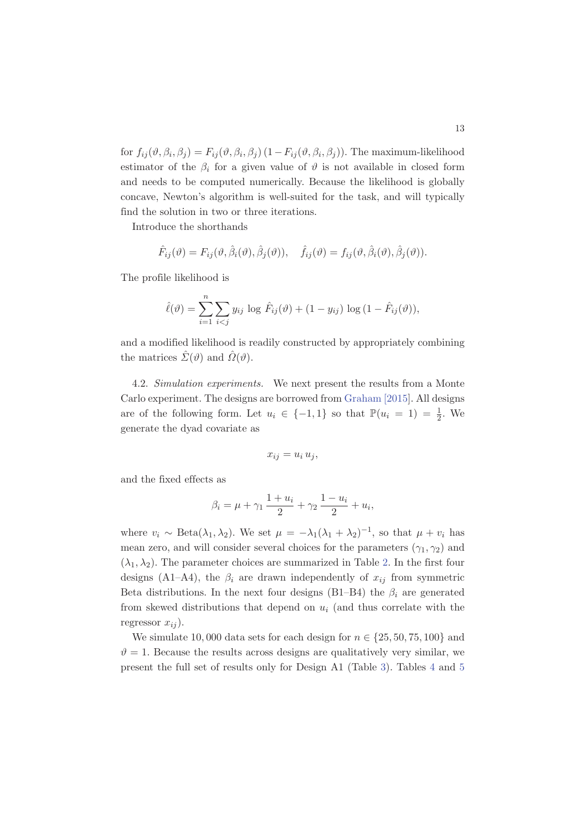for  $f_{ij}(\vartheta, \beta_i, \beta_j) = F_{ij}(\vartheta, \beta_i, \beta_j) (1 - F_{ij}(\vartheta, \beta_i, \beta_j))$ . The maximum-likelihood estimator of the  $\beta_i$  for a given value of  $\vartheta$  is not available in closed form and needs to be computed numerically. Because the likelihood is globally concave, Newton's algorithm is well-suited for the task, and will typically find the solution in two or three iterations.

Introduce the shorthands

$$
\hat{F}_{ij}(\vartheta) = F_{ij}(\vartheta, \hat{\beta}_i(\vartheta), \hat{\beta}_j(\vartheta)), \quad \hat{f}_{ij}(\vartheta) = f_{ij}(\vartheta, \hat{\beta}_i(\vartheta), \hat{\beta}_j(\vartheta)).
$$

The profile likelihood is

$$
\hat{\ell}(\vartheta) = \sum_{i=1}^{n} \sum_{i < j} y_{ij} \log \hat{F}_{ij}(\vartheta) + (1 - y_{ij}) \log (1 - \hat{F}_{ij}(\vartheta)),
$$

and a modified likelihood is readily constructed by appropriately combining the matrices  $\hat{\Sigma}(\vartheta)$  and  $\hat{\Omega}(\vartheta)$ .

4.2. *Simulation experiments.* We next present the results from a Monte Carlo experiment. The designs are borrowed from Graham [2015]. All designs are of the following form. Let  $u_i \in \{-1,1\}$  so that  $\mathbb{P}(u_i = 1) = \frac{1}{2}$ . We generate the dyad covariate as

$$
x_{ij} = u_i u_j,
$$

and the fixed effects as

$$
\beta_i = \mu + \gamma_1 \frac{1 + u_i}{2} + \gamma_2 \frac{1 - u_i}{2} + u_i,
$$

where  $v_i \sim \text{Beta}(\lambda_1, \lambda_2)$ . We set  $\mu = -\lambda_1(\lambda_1 + \lambda_2)^{-1}$ , so that  $\mu + v_i$  has mean zero, and will consider several choices for the parameters  $(\gamma_1, \gamma_2)$  and  $(\lambda_1, \lambda_2)$ . The parameter choices are summarized in Table 2. In the first four designs (A1–A4), the  $\beta_i$  are drawn independently of  $x_{ij}$  from symmetric Beta distributions. In the next four designs (B1–B4) the  $\beta_i$  are generated from skewed distributions that depend on  $u_i$  (and thus correlate with the regressor  $x_{ij}$ ).

We simulate 10,000 data sets for each design for  $n \in \{25, 50, 75, 100\}$  and  $\vartheta = 1$ . Because the results across designs are qualitatively very similar, we present the full set of results only for Design A1 (Table 3). Tables 4 and 5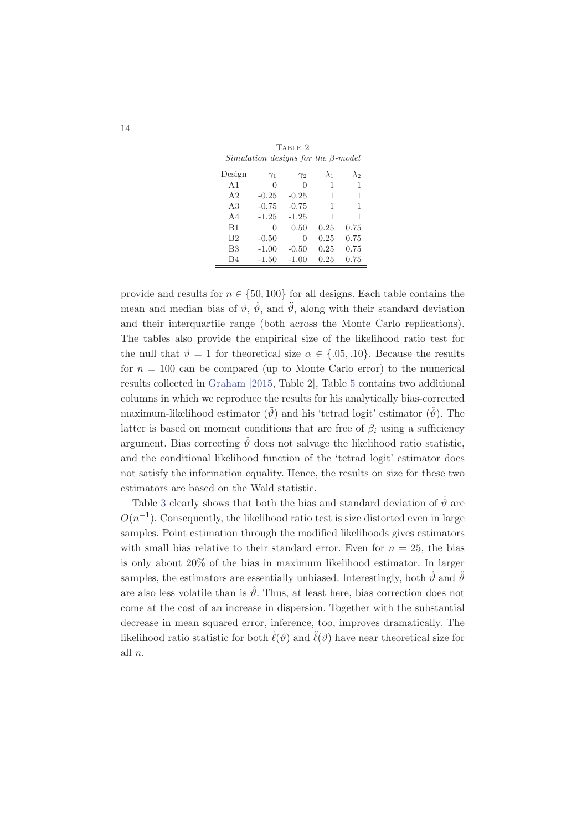| $Simulation$ designs for the $\beta$ -model |                  |            |             |              |  |  |  |
|---------------------------------------------|------------------|------------|-------------|--------------|--|--|--|
| Design                                      | $\gamma_1$       | $\gamma_2$ | $\lambda_1$ | $\lambda_2$  |  |  |  |
| A <sub>1</sub>                              | $\left( \right)$ | 0          | 1           | $\mathbf{1}$ |  |  |  |
| A <sub>2</sub>                              | $-0.25$          | $-0.25$    | 1           | 1            |  |  |  |
| A3                                          | $-0.75$          | $-0.75$    | 1           | 1            |  |  |  |
| AA                                          | $-1.25$          | $-1.25$    | 1           | 1            |  |  |  |
| B1                                          | 0                | 0.50       | 0.25        | 0.75         |  |  |  |
| B <sub>2</sub>                              | $-0.50$          | 0          | 0.25        | 0.75         |  |  |  |
| B <sub>3</sub>                              | $-1.00$          | $-0.50$    | 0.25        | 0.75         |  |  |  |
| B4                                          | $-1.50$          | $-1.00$    | 0.25        | 0.75         |  |  |  |

TABLE 2 *Simulation designs for the* β*-model*

provide and results for  $n \in \{50, 100\}$  for all designs. Each table contains the mean and median bias of  $\vartheta$ ,  $\dot{\vartheta}$ , and  $\ddot{\vartheta}$ , along with their standard deviation and their interquartile range (both across the Monte Carlo replications). The tables also provide the empirical size of the likelihood ratio test for the null that  $\vartheta = 1$  for theoretical size  $\alpha \in \{.05, .10\}$ . Because the results for  $n = 100$  can be compared (up to Monte Carlo error) to the numerical results collected in Graham [2015, Table 2], Table 5 contains two additional columns in which we reproduce the results for his analytically bias-corrected maximum-likelihood estimator  $(\tilde{\theta})$  and his 'tetrad logit' estimator  $(\tilde{\theta})$ . The latter is based on moment conditions that are free of  $\beta_i$  using a sufficiency argument. Bias correcting  $\hat{\theta}$  does not salvage the likelihood ratio statistic, and the conditional likelihood function of the 'tetrad logit' estimator does not satisfy the information equality. Hence, the results on size for these two estimators are based on the Wald statistic.

Table 3 clearly shows that both the bias and standard deviation of  $\hat{\vartheta}$  are  $O(n^{-1})$ . Consequently, the likelihood ratio test is size distorted even in large samples. Point estimation through the modified likelihoods gives estimators with small bias relative to their standard error. Even for  $n = 25$ , the bias is only about 20% of the bias in maximum likelihood estimator. In larger samples, the estimators are essentially unbiased. Interestingly, both  $\dot{\vartheta}$  and  $\ddot{\vartheta}$ are also less volatile than is  $\hat{\theta}$ . Thus, at least here, bias correction does not come at the cost of an increase in dispersion. Together with the substantial decrease in mean squared error, inference, too, improves dramatically. The likelihood ratio statistic for both  $\ell(\vartheta)$  and  $\ell(\vartheta)$  have near theoretical size for all n.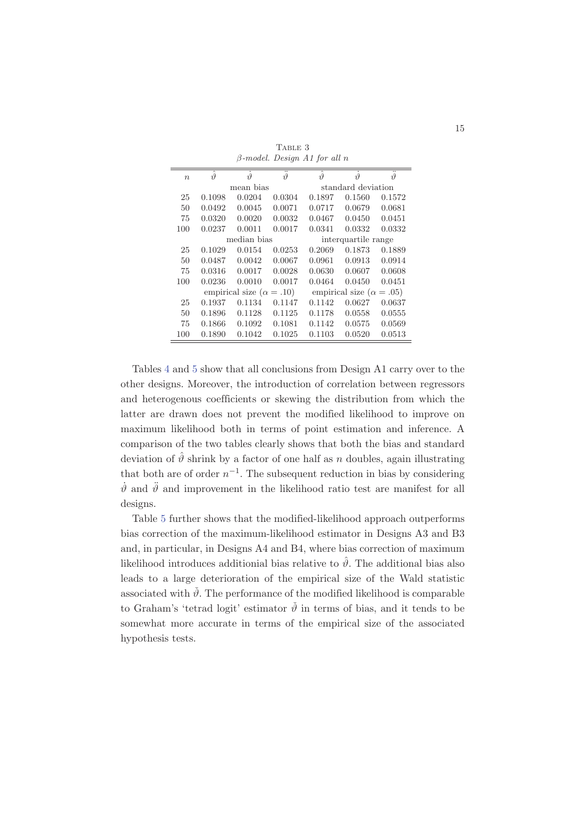| $\boldsymbol{n}$ | $\hat{\vartheta}$                 | $\dot{\vartheta}$ | $\ddot{\vartheta}$ | $\hat{\vartheta}$ | $\dot{\vartheta}$                 | $\ddot{\vartheta}$ |
|------------------|-----------------------------------|-------------------|--------------------|-------------------|-----------------------------------|--------------------|
|                  |                                   | mean bias         |                    |                   | standard deviation                |                    |
| 25               | 0.1098                            | 0.0204            | 0.0304             | 0.1897            | 0.1560                            | 0.1572             |
| 50               | 0.0492                            | 0.0045            | 0.0071             | 0.0717            | 0.0679                            | 0.0681             |
| 75               | 0.0320                            | 0.0020            | 0.0032             | 0.0467            | 0.0450                            | 0.0451             |
| 100              | 0.0237                            | 0.0011            | 0.0017             | 0.0341            | 0.0332                            | 0.0332             |
|                  |                                   | median bias       |                    |                   | interquartile range               |                    |
| 25               | 0.1029                            | 0.0154            | 0.0253             | 0.2069            | 0.1873                            | 0.1889             |
| 50               | 0.0487                            | 0.0042            | 0.0067             | 0.0961            | 0.0913                            | 0.0914             |
| 75               | 0.0316                            | 0.0017            | 0.0028             | 0.0630            | 0.0607                            | 0.0608             |
| 100              | 0.0236                            | 0.0010            | 0.0017             | 0.0464            | 0.0450                            | 0.0451             |
|                  | empirical size ( $\alpha = .10$ ) |                   |                    |                   | empirical size ( $\alpha = .05$ ) |                    |
| 25               | 0.1937                            | 0.1134            | 0.1147             | 0.1142            | 0.0627                            | 0.0637             |
| 50               | 0.1896                            | 0.1128            | 0.1125             | 0.1178            | 0.0558                            | 0.0555             |
| 75               | 0.1866                            | 0.1092            | 0.1081             | 0.1142            | 0.0575                            | 0.0569             |
| 100              | 0.1890                            | 0.1042            | 0.1025             | 0.1103            | 0.0520                            | 0.0513             |
|                  |                                   |                   |                    |                   |                                   |                    |

TABLE 3 β*-model. Design A1 for all* n

Tables 4 and 5 show that all conclusions from Design A1 carry over to the other designs. Moreover, the introduction of correlation between regressors and heterogenous coefficients or skewing the distribution from which the latter are drawn does not prevent the modified likelihood to improve on maximum likelihood both in terms of point estimation and inference. A comparison of the two tables clearly shows that both the bias and standard deviation of  $\hat{\theta}$  shrink by a factor of one half as n doubles, again illustrating that both are of order  $n^{-1}$ . The subsequent reduction in bias by considering  $\dot{\theta}$  and  $\ddot{\theta}$  and improvement in the likelihood ratio test are manifest for all designs.

Table 5 further shows that the modified-likelihood approach outperforms bias correction of the maximum-likelihood estimator in Designs A3 and B3 and, in particular, in Designs A4 and B4, where bias correction of maximum likelihood introduces additionial bias relative to  $\hat{\theta}$ . The additional bias also leads to a large deterioration of the empirical size of the Wald statistic associated with  $\check{\vartheta}$ . The performance of the modified likelihood is comparable to Graham's 'tetrad logit' estimator  $\check{\vartheta}$  in terms of bias, and it tends to be somewhat more accurate in terms of the empirical size of the associated hypothesis tests.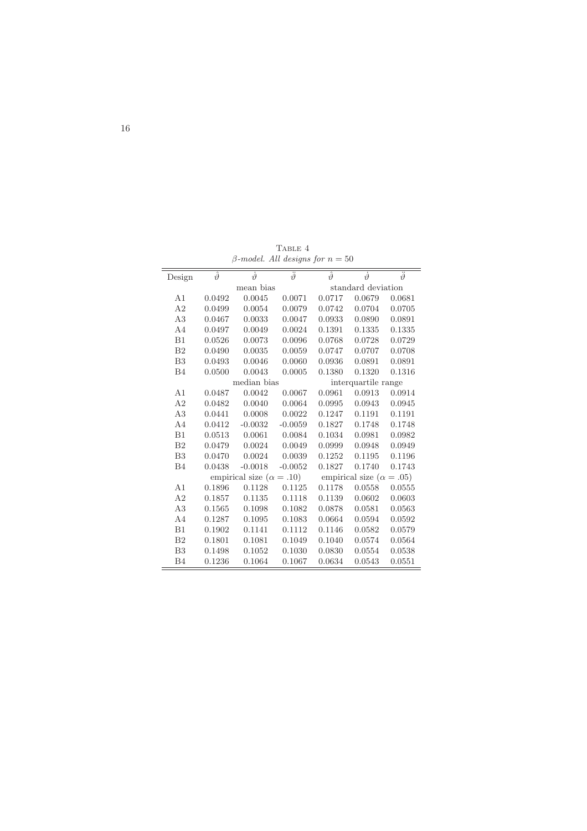| Design         | $\hat{\vartheta}$ | $\dot{\vartheta}$                 | $\ddot{\vartheta}$ | $\hat{\vartheta}$  | $\dot{\vartheta}$                 | $\ddot{\vartheta}$ |
|----------------|-------------------|-----------------------------------|--------------------|--------------------|-----------------------------------|--------------------|
|                |                   | mean bias                         |                    | standard deviation |                                   |                    |
| A <sub>1</sub> | 0.0492            | 0.0045                            | 0.0071             | 0.0717             | 0.0679                            | 0.0681             |
| A2             | 0.0499            | 0.0054                            | 0.0079             | 0.0742             | 0.0704                            | 0.0705             |
| A3             | 0.0467            | 0.0033                            | 0.0047             | 0.0933             | 0.0890                            | 0.0891             |
| AA             | 0.0497            | 0.0049                            | 0.0024             | 0.1391             | 0.1335                            | 0.1335             |
| B1             | 0.0526            | 0.0073                            | 0.0096             | 0.0768             | 0.0728                            | 0.0729             |
| B <sub>2</sub> | 0.0490            | 0.0035                            | 0.0059             | 0.0747             | 0.0707                            | 0.0708             |
| B <sub>3</sub> | 0.0493            | 0.0046                            | 0.0060             | 0.0936             | 0.0891                            | 0.0891             |
| B <sub>4</sub> | 0.0500            | 0.0043                            | 0.0005             | 0.1380             | 0.1320                            | 0.1316             |
|                |                   | median bias                       |                    |                    | interquartile range               |                    |
| A1             | 0.0487            | 0.0042                            | 0.0067             | 0.0961             | 0.0913                            | 0.0914             |
| A2             | 0.0482            | 0.0040                            | 0.0064             | 0.0995             | 0.0943                            | 0.0945             |
| A3             | 0.0441            | 0.0008                            | 0.0022             | 0.1247             | 0.1191                            | 0.1191             |
| A <sub>4</sub> | 0.0412            | $-0.0032$                         | $-0.0059$          | 0.1827             | 0.1748                            | 0.1748             |
| B1             | 0.0513            | 0.0061                            | 0.0084             | 0.1034             | 0.0981                            | 0.0982             |
| B <sub>2</sub> | 0.0479            | 0.0024                            | 0.0049             | 0.0999             | 0.0948                            | 0.0949             |
| B <sub>3</sub> | 0.0470            | 0.0024                            | 0.0039             | 0.1252             | 0.1195                            | 0.1196             |
| B <sub>4</sub> | 0.0438            | $-0.0018$                         | $-0.0052$          | 0.1827             | 0.1740                            | 0.1743             |
|                |                   | empirical size ( $\alpha = .10$ ) |                    |                    | empirical size ( $\alpha = .05$ ) |                    |
| A1             | 0.1896            | 0.1128                            | 0.1125             | 0.1178             | 0.0558                            | 0.0555             |
| A <sub>2</sub> | 0.1857            | 0.1135                            | 0.1118             | 0.1139             | 0.0602                            | 0.0603             |
| A3             | 0.1565            | 0.1098                            | 0.1082             | 0.0878             | 0.0581                            | 0.0563             |
| A <sub>4</sub> | 0.1287            | 0.1095                            | 0.1083             | 0.0664             | 0.0594                            | 0.0592             |
| B1             | 0.1902            | 0.1141                            | 0.1112             | 0.1146             | 0.0582                            | 0.0579             |
| B <sub>2</sub> | 0.1801            | 0.1081                            | 0.1049             | 0.1040             | 0.0574                            | 0.0564             |
| B <sub>3</sub> | 0.1498            | 0.1052                            | 0.1030             | 0.0830             | 0.0554                            | 0.0538             |
| B4             | 0.1236            | 0.1064                            | 0.1067             | 0.0634             | 0.0543                            | 0.0551             |

TABLE  $4\,$  $\beta$ -model. All designs for  $n = 50$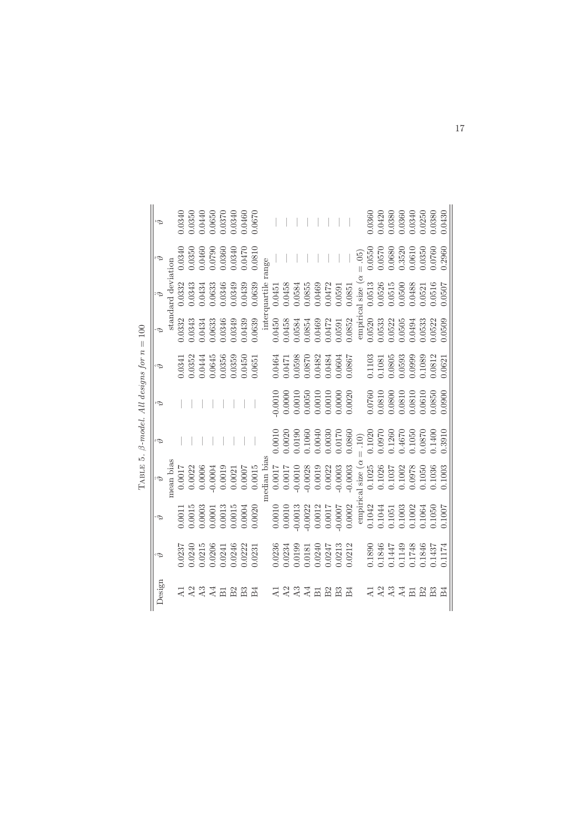|            |                                                                                                                          |                                                                                         | TABLE 5.                                                                                                                                                                                                                                                                                                      |                                                                     | $\beta$ -model. All designs for n                                                                           |                                                                                                                                           | 100<br>$\left  {}\right $ |                                                                                                                                                                                                                                                                                                                               |                                                                                                   |                                                                               |
|------------|--------------------------------------------------------------------------------------------------------------------------|-----------------------------------------------------------------------------------------|---------------------------------------------------------------------------------------------------------------------------------------------------------------------------------------------------------------------------------------------------------------------------------------------------------------|---------------------------------------------------------------------|-------------------------------------------------------------------------------------------------------------|-------------------------------------------------------------------------------------------------------------------------------------------|---------------------------|-------------------------------------------------------------------------------------------------------------------------------------------------------------------------------------------------------------------------------------------------------------------------------------------------------------------------------|---------------------------------------------------------------------------------------------------|-------------------------------------------------------------------------------|
| Design     |                                                                                                                          |                                                                                         | $\ddot{\phi}$                                                                                                                                                                                                                                                                                                 | $\tilde{\varphi}$                                                   | Ř                                                                                                           |                                                                                                                                           | $\dot{\varphi}$           |                                                                                                                                                                                                                                                                                                                               |                                                                                                   |                                                                               |
|            |                                                                                                                          |                                                                                         | nean bias                                                                                                                                                                                                                                                                                                     |                                                                     |                                                                                                             |                                                                                                                                           |                           | standard deviation                                                                                                                                                                                                                                                                                                            |                                                                                                   |                                                                               |
|            |                                                                                                                          | 0.0011                                                                                  |                                                                                                                                                                                                                                                                                                               |                                                                     |                                                                                                             |                                                                                                                                           |                           | 0.0332                                                                                                                                                                                                                                                                                                                        | 0.0340                                                                                            | 0340                                                                          |
|            |                                                                                                                          | 0.0015                                                                                  |                                                                                                                                                                                                                                                                                                               |                                                                     |                                                                                                             |                                                                                                                                           | 0.0332<br>0.0343          | 0.343                                                                                                                                                                                                                                                                                                                         | 0.0350                                                                                            |                                                                               |
|            |                                                                                                                          | 0.0003                                                                                  | $\begin{array}{c} 0.0017 \\ 0.0022 \\ 0.0006 \\ 0.0006 \end{array}$                                                                                                                                                                                                                                           |                                                                     |                                                                                                             |                                                                                                                                           |                           | $\begin{array}{c} 0.0434 \\ 0.0633 \\ 0.0346 \\ 0.0346 \end{array}$                                                                                                                                                                                                                                                           | 0.0460<br>0.0790                                                                                  | $\begin{array}{c} 0.0350 \\ 0.0440 \\ 0.0650 \end{array}$                     |
|            |                                                                                                                          |                                                                                         |                                                                                                                                                                                                                                                                                                               |                                                                     |                                                                                                             |                                                                                                                                           | 0.0434<br>0.0633          |                                                                                                                                                                                                                                                                                                                               |                                                                                                   |                                                                               |
|            |                                                                                                                          |                                                                                         | 0.0019                                                                                                                                                                                                                                                                                                        |                                                                     |                                                                                                             |                                                                                                                                           |                           |                                                                                                                                                                                                                                                                                                                               |                                                                                                   |                                                                               |
|            | $\begin{array}{l} 0.0237 \\ 0.0240 \\ 0.0215 \\ 0.0206 \\ 0.0206 \\ 0.0241 \\ 0.0246 \\ 0.0245 \\ 0.0231 \\ \end{array}$ | $\begin{array}{c} 0.0013 \\ 0.0015 \\ 0.0004 \\ 0.0004 \end{array}$                     | 0.0021                                                                                                                                                                                                                                                                                                        |                                                                     |                                                                                                             |                                                                                                                                           | 0.0346<br>0.0349          |                                                                                                                                                                                                                                                                                                                               | 0.0360<br>0.0340                                                                                  | $\begin{array}{c} 0.0370 \\ 0.0340 \\ 0.0460 \end{array}$                     |
|            |                                                                                                                          |                                                                                         | 0.0007                                                                                                                                                                                                                                                                                                        |                                                                     |                                                                                                             |                                                                                                                                           | 0.0439<br>0.0639          | 0.0439<br>0.0639                                                                                                                                                                                                                                                                                                              | 0.0470                                                                                            |                                                                               |
|            |                                                                                                                          |                                                                                         | 0.0015                                                                                                                                                                                                                                                                                                        |                                                                     |                                                                                                             | $\begin{array}{l} 0.0341\\ 0.0352\\ 0.0444\\ 0.0645\\ 0.0645\\ 0.0356\\ 0.0359\\ 0.0450\\ 0.0450\\ 0.061 \end{array}$                     |                           | $\begin{tabular}{rl} &1.0639 &\ldots\\ &\text{interquartile}\; \text{re} \\ 0.0450 & 0.0451\\ &0.0458& 0.0451\\ &\text{ } 0.01458& 0.0458\\ &\text{ } 0.0584& 0.058\\ &\text{ } 0.0854& 0.08\\ &\text{ } 0.0852& 0.0472\\ &\text{ } 0.0472& 0\\ &\text{ } 0.0591& 0\\ &\text{ } 0.0852& 0\\ &\text{ } 0.0852& 0\\ &\text{ } $ |                                                                                                   | 0.0670                                                                        |
|            |                                                                                                                          |                                                                                         | median bias                                                                                                                                                                                                                                                                                                   |                                                                     |                                                                                                             |                                                                                                                                           |                           |                                                                                                                                                                                                                                                                                                                               | ange:                                                                                             |                                                                               |
|            |                                                                                                                          | 0.0010                                                                                  | 7100.0000                                                                                                                                                                                                                                                                                                     | 0.0010                                                              | 0.0010                                                                                                      |                                                                                                                                           |                           |                                                                                                                                                                                                                                                                                                                               |                                                                                                   |                                                                               |
|            | 0.0236<br>0.0234<br>0.0199                                                                                               | $0.0010$<br>$0.0013$                                                                    |                                                                                                                                                                                                                                                                                                               | $0.0020$<br>$0.0190$                                                |                                                                                                             |                                                                                                                                           |                           |                                                                                                                                                                                                                                                                                                                               |                                                                                                   |                                                                               |
|            |                                                                                                                          |                                                                                         | $-0.0010$                                                                                                                                                                                                                                                                                                     |                                                                     |                                                                                                             |                                                                                                                                           |                           |                                                                                                                                                                                                                                                                                                                               |                                                                                                   |                                                                               |
| $\Delta$ 4 |                                                                                                                          |                                                                                         | $-0.0028$<br>0.0019                                                                                                                                                                                                                                                                                           | 0.1060                                                              |                                                                                                             |                                                                                                                                           |                           |                                                                                                                                                                                                                                                                                                                               |                                                                                                   |                                                                               |
| 듦          |                                                                                                                          |                                                                                         |                                                                                                                                                                                                                                                                                                               | 0.0040                                                              |                                                                                                             |                                                                                                                                           |                           |                                                                                                                                                                                                                                                                                                                               |                                                                                                   |                                                                               |
|            |                                                                                                                          |                                                                                         |                                                                                                                                                                                                                                                                                                               | $0.0030$<br>$0.0170$                                                |                                                                                                             |                                                                                                                                           |                           |                                                                                                                                                                                                                                                                                                                               |                                                                                                   |                                                                               |
|            | $0.0181$<br>$0.0240$<br>$0.0247$<br>$0.0247$                                                                             | $\begin{array}{c} 0.0022 \\ 0.0012 \\ 0.0017 \\ 0.0017 \\ 0.0007 \\ 0.0002 \end{array}$ | $\begin{array}{ll} 0.0017 & 0.0022 \\ 0.0007 & -0.0003 \\ 0.0002 & -0.0003 \\ \text{empirical size } (\alpha = \text{empirical size}) \\ 0.1042 & 0.1025 \\ 0.1044 & 0.1026 \\ 0.1051 & 0.1037 \\ 0.1037 & 0.1037 \\ 0.1002 & 0.0978 \\ 0.1002 & 0.0978 \\ 0.1064 & 0.1050 \\ 0.1064 & 0.1050 \\ \end{array}$ |                                                                     | $\begin{array}{l} 0.0000 \\ 0.0010 \\ 0.0050 \\ 0.0010 \\ 0.0010 \\ 0.0000 \\ 0.0000 \\ 0.0020 \end{array}$ | $\begin{array}{l} 7.940 \\ 0.0471 \\ 0.0598 \\ 0.0800 \\ 0.0708 \\ 0.0708 \\ 0.0708 \\ 0.0482 \\ 0.0484 \\ 0.004 \\ \end{array}$          |                           |                                                                                                                                                                                                                                                                                                                               |                                                                                                   |                                                                               |
|            | 0.212                                                                                                                    |                                                                                         |                                                                                                                                                                                                                                                                                                               | 0.0860                                                              |                                                                                                             |                                                                                                                                           |                           |                                                                                                                                                                                                                                                                                                                               |                                                                                                   |                                                                               |
|            |                                                                                                                          |                                                                                         |                                                                                                                                                                                                                                                                                                               | $= .10)$                                                            |                                                                                                             |                                                                                                                                           |                           |                                                                                                                                                                                                                                                                                                                               | (50)                                                                                              |                                                                               |
|            |                                                                                                                          | 0.1042<br>0.1044                                                                        |                                                                                                                                                                                                                                                                                                               |                                                                     |                                                                                                             |                                                                                                                                           |                           |                                                                                                                                                                                                                                                                                                                               | 0.0550                                                                                            | 0360                                                                          |
|            |                                                                                                                          |                                                                                         |                                                                                                                                                                                                                                                                                                               | 0.1020<br>0.0970                                                    |                                                                                                             |                                                                                                                                           |                           |                                                                                                                                                                                                                                                                                                                               | 0.0570                                                                                            | 0.0420                                                                        |
|            |                                                                                                                          |                                                                                         |                                                                                                                                                                                                                                                                                                               |                                                                     |                                                                                                             |                                                                                                                                           |                           |                                                                                                                                                                                                                                                                                                                               |                                                                                                   |                                                                               |
|            | 0.1890<br>0.1846<br>0.1147<br>0.1748<br>0.1846                                                                           | $\begin{array}{c} 0.1051 \\ 0.1003 \\ 0.1002 \end{array}$                               |                                                                                                                                                                                                                                                                                                               | $\begin{array}{c} 0.1260 \\ 0.4670 \\ 0.1050 \\ 0.0870 \end{array}$ | $\begin{array}{l} 0.0760 \\ 0.0810 \\ 0.0800 \\ 0.0800 \\ 0.0810 \\ 0.0310 \\ 0.0610 \end{array}$           | $\begin{array}{l} 0.1103 \\ 0.1081 \\ 0.0805 \\ 0.0593 \\ 0.0593 \\ 0.0999 \\ 0.1082 \\ 0.0812 \\ 0.0812 \\ 0.0812 \\ 0.0621 \end{array}$ |                           |                                                                                                                                                                                                                                                                                                                               | $\begin{array}{c} 0.0680 \\ 0.3520 \\ 0.0610 \\ 0.0350 \\ 0.0760 \\ 0.0760 \\ 0.0760 \end{array}$ | $\begin{array}{c} 0.0380 \\ 0.0360 \\ 0.0340 \\ 0.0250 \\ 0.0300 \end{array}$ |
| 淸          |                                                                                                                          |                                                                                         |                                                                                                                                                                                                                                                                                                               |                                                                     |                                                                                                             |                                                                                                                                           |                           |                                                                                                                                                                                                                                                                                                                               |                                                                                                   |                                                                               |
|            |                                                                                                                          |                                                                                         |                                                                                                                                                                                                                                                                                                               |                                                                     |                                                                                                             |                                                                                                                                           |                           |                                                                                                                                                                                                                                                                                                                               |                                                                                                   |                                                                               |
|            |                                                                                                                          | 0.1050                                                                                  | 0.1036<br>0.1003                                                                                                                                                                                                                                                                                              | 0.1400                                                              | 0.0850                                                                                                      |                                                                                                                                           |                           |                                                                                                                                                                                                                                                                                                                               |                                                                                                   |                                                                               |
| $_{\rm B}$ | 1.1437<br>0.1174                                                                                                         |                                                                                         |                                                                                                                                                                                                                                                                                                               |                                                                     |                                                                                                             |                                                                                                                                           |                           |                                                                                                                                                                                                                                                                                                                               |                                                                                                   | 0.0430                                                                        |

|        | $\mid \mid$   |               |
|--------|---------------|---------------|
|        | $\tilde{n}$   |               |
|        |               |               |
|        | í             | $\frac{1}{2}$ |
|        |               |               |
|        | co coc        |               |
|        | de            |               |
|        |               |               |
| ľ<br>₹ |               | A             |
|        |               |               |
|        |               |               |
|        |               |               |
|        | guu           | ı             |
| Q      |               | ׇ֚֚֝          |
|        | Ľ             | $\vdots$      |
|        |               |               |
|        | LA BLK<br>ΡIΕ |               |
|        |               |               |
| E      |               |               |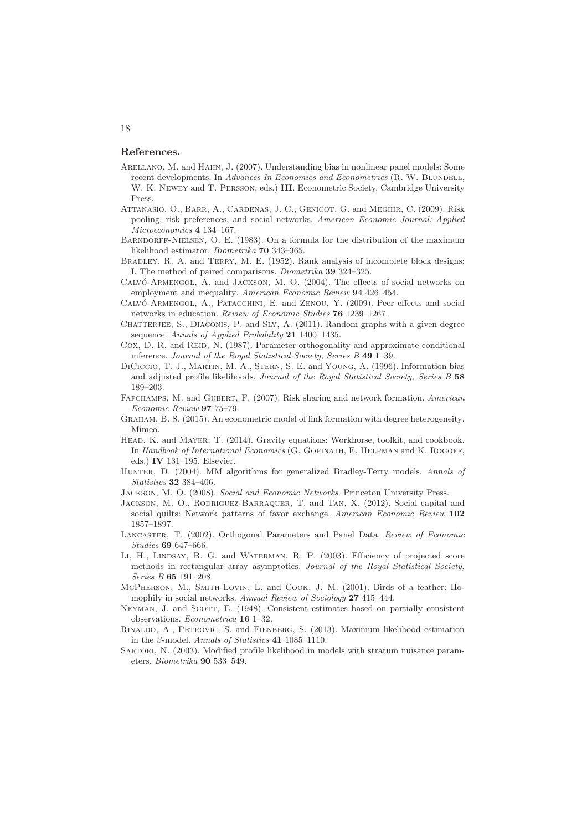#### References.

- Arellano, M. and Hahn, J. (2007). Understanding bias in nonlinear panel models: Some recent developments. In *Advances In Economics and Econometrics* (R. W. BLUNDELL, W. K. Newey and T. Persson, eds.) III. Econometric Society. Cambridge University Press.
- Attanasio, O., Barr, A., Cardenas, J. C., Genicot, G. and Meghir, C. (2009). Risk pooling, risk preferences, and social networks. *American Economic Journal: Applied Microeconomics* 4 134–167.
- BARNDORFF-NIELSEN, O. E. (1983). On a formula for the distribution of the maximum likelihood estimator. *Biometrika* 70 343–365.
- BRADLEY, R. A. and TERRY, M. E. (1952). Rank analysis of incomplete block designs: I. The method of paired comparisons. *Biometrika* 39 324–325.
- CALVÓ-ARMENGOL, A. and JACKSON, M. O. (2004). The effects of social networks on employment and inequality. *American Economic Review* 94 426–454.
- CALVÓ-ARMENGOL, A., PATACCHINI, E. and ZENOU, Y. (2009). Peer effects and social networks in education. *Review of Economic Studies* 76 1239–1267.
- CHATTERJEE, S., DIACONIS, P. and SLY, A. (2011). Random graphs with a given degree sequence. *Annals of Applied Probability* 21 1400–1435.
- Cox, D. R. and REID, N. (1987). Parameter orthogonality and approximate conditional inference. *Journal of the Royal Statistical Society, Series B* 49 1–39.
- DiCiccio, T. J., Martin, M. A., Stern, S. E. and Young, A. (1996). Information bias and adjusted profile likelihoods. *Journal of the Royal Statistical Society, Series B* 58 189–203.
- Fafchamps, M. and Gubert, F. (2007). Risk sharing and network formation. *American Economic Review* 97 75–79.
- Graham, B. S. (2015). An econometric model of link formation with degree heterogeneity. Mimeo.
- HEAD, K. and MAYER, T. (2014). Gravity equations: Workhorse, toolkit, and cookbook. In *Handbook of International Economics* (G. GOPINATH, E. HELPMAN and K. ROGOFF, eds.) IV 131–195. Elsevier.
- Hunter, D. (2004). MM algorithms for generalized Bradley-Terry models. *Annals of Statistics* 32 384–406.
- Jackson, M. O. (2008). *Social and Economic Networks*. Princeton University Press.
- JACKSON, M. O., RODRIGUEZ-BARRAQUER, T. and TAN, X. (2012). Social capital and social quilts: Network patterns of favor exchange. *American Economic Review* 102 1857–1897.
- Lancaster, T. (2002). Orthogonal Parameters and Panel Data. *Review of Economic Studies* 69 647–666.
- LI, H., LINDSAY, B. G. and WATERMAN, R. P. (2003). Efficiency of projected score methods in rectangular array asymptotics. *Journal of the Royal Statistical Society, Series B* 65 191–208.
- McPherson, M., Smith-Lovin, L. and Cook, J. M. (2001). Birds of a feather: Homophily in social networks. *Annual Review of Sociology* 27 415–444.
- NEYMAN, J. and SCOTT, E. (1948). Consistent estimates based on partially consistent observations. *Econometrica* 16 1–32.
- Rinaldo, A., Petrovic, S. and Fienberg, S. (2013). Maximum likelihood estimation in the β-model. *Annals of Statistics* 41 1085–1110.
- SARTORI, N. (2003). Modified profile likelihood in models with stratum nuisance parameters. *Biometrika* 90 533–549.

#### 18